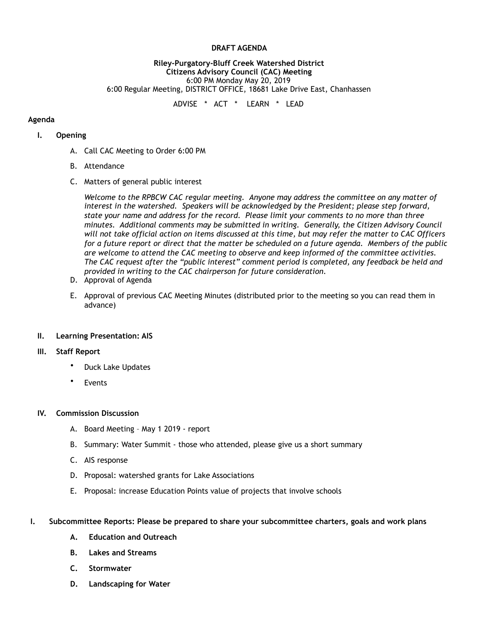### **DRAFT AGENDA**

### **Riley-Purgatory-Bluff Creek Watershed District Citizens Advisory Council (CAC) Meeting**  6:00 PM Monday May 20, 2019 6:00 Regular Meeting, DISTRICT OFFICE, 18681 Lake Drive East, Chanhassen

ADVISE \* ACT \* LEARN \* LEAD

## **Agenda**

## **I. Opening**

- A. Call CAC Meeting to Order 6:00 PM
- B. Attendance
- C. Matters of general public interest

*Welcome to the RPBCW CAC regular meeting. Anyone may address the committee on any matter of interest in the watershed. Speakers will be acknowledged by the President; please step forward, state your name and address for the record. Please limit your comments to no more than three minutes. Additional comments may be submitted in writing. Generally, the Citizen Advisory Council will not take official action on items discussed at this time, but may refer the matter to CAC Officers for a future report or direct that the matter be scheduled on a future agenda. Members of the public are welcome to attend the CAC meeting to observe and keep informed of the committee activities. The CAC request after the "public interest" comment period is completed, any feedback be held and provided in writing to the CAC chairperson for future consideration.*

- D. Approval of Agenda
- E. Approval of previous CAC Meeting Minutes (distributed prior to the meeting so you can read them in advance)

## **II. Learning Presentation: AIS**

## **III. Staff Report**

- Duck Lake Updates
- **Events**

### **IV. Commission Discussion**

- A. Board Meeting May 1 2019 report
- B. Summary: Water Summit those who attended, please give us a short summary
- C. AIS response
- D. Proposal: watershed grants for Lake Associations
- E. Proposal: increase Education Points value of projects that involve schools

### **I. Subcommittee Reports: Please be prepared to share your subcommittee charters, goals and work plans**

- **A. Education and Outreach**
- **B. Lakes and Streams**
- **C. Stormwater**
- **D. Landscaping for Water**